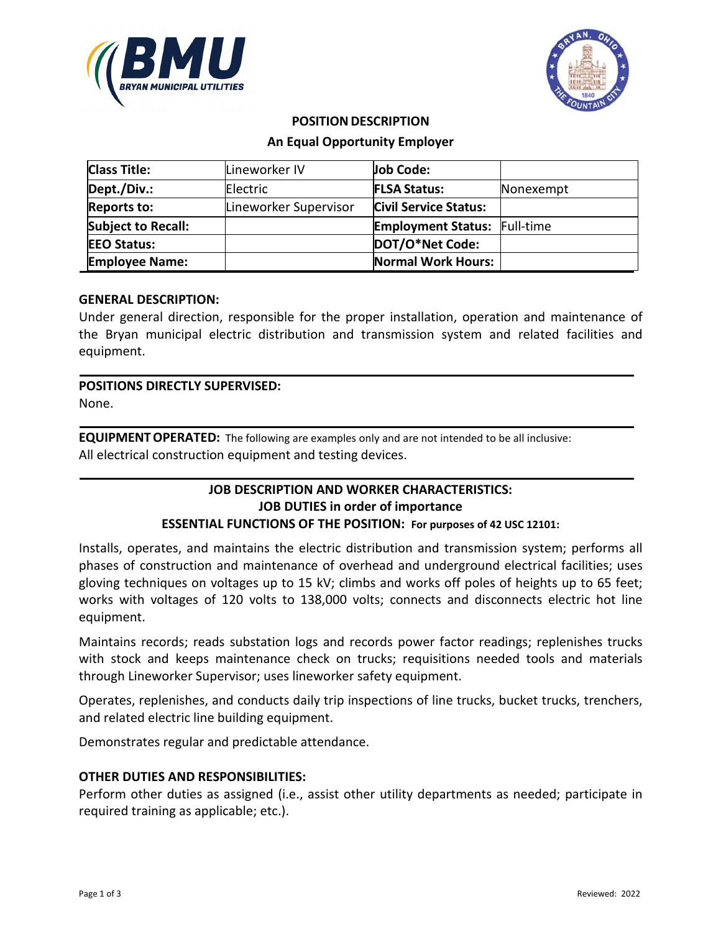



#### **POSITION DESCRIPTION**

### **An Equal Opportunity Employer**

| <b>Class Title:</b>       | Lineworker IV         | Job Code:                           |           |
|---------------------------|-----------------------|-------------------------------------|-----------|
| Dept./Div.:               | Electric              | <b>FLSA Status:</b>                 | Nonexempt |
| <b>Reports to:</b>        | Lineworker Supervisor | <b>Civil Service Status:</b>        |           |
| <b>Subject to Recall:</b> |                       | <b>Employment Status: Full-time</b> |           |
| <b>EEO Status:</b>        |                       | DOT/O*Net Code:                     |           |
| <b>Employee Name:</b>     |                       | <b>Normal Work Hours:</b>           |           |

## **GENERAL DESCRIPTION:**

Under general direction, responsible for the proper installation, operation and maintenance of the Bryan municipal electric distribution and transmission system and related facilities and equipment.

# **POSITIONS DIRECTLY SUPERVISED:**

None.

**EQUIPMENTOPERATED:** The following are examples only and are not intended to be all inclusive: All electrical construction equipment and testing devices.

## **JOB DESCRIPTION AND WORKER CHARACTERISTICS: JOB DUTIES in order of importance ESSENTIAL FUNCTIONS OF THE POSITION: For purposes of 42 USC 12101:**

Installs, operates, and maintains the electric distribution and transmission system; performs all phases of construction and maintenance of overhead and underground electrical facilities; uses gloving techniques on voltages up to 15 kV; climbs and works off poles of heights up to 65 feet; works with voltages of 120 volts to 138,000 volts; connects and disconnects electric hot line equipment.

Maintains records; reads substation logs and records power factor readings; replenishes trucks with stock and keeps maintenance check on trucks; requisitions needed tools and materials through Lineworker Supervisor; uses lineworker safety equipment.

Operates, replenishes, and conducts daily trip inspections of line trucks, bucket trucks, trenchers, and related electric line building equipment.

Demonstrates regular and predictable attendance.

## **OTHER DUTIES AND RESPONSIBILITIES:**

Perform other duties as assigned (i.e., assist other utility departments as needed; participate in required training as applicable; etc.).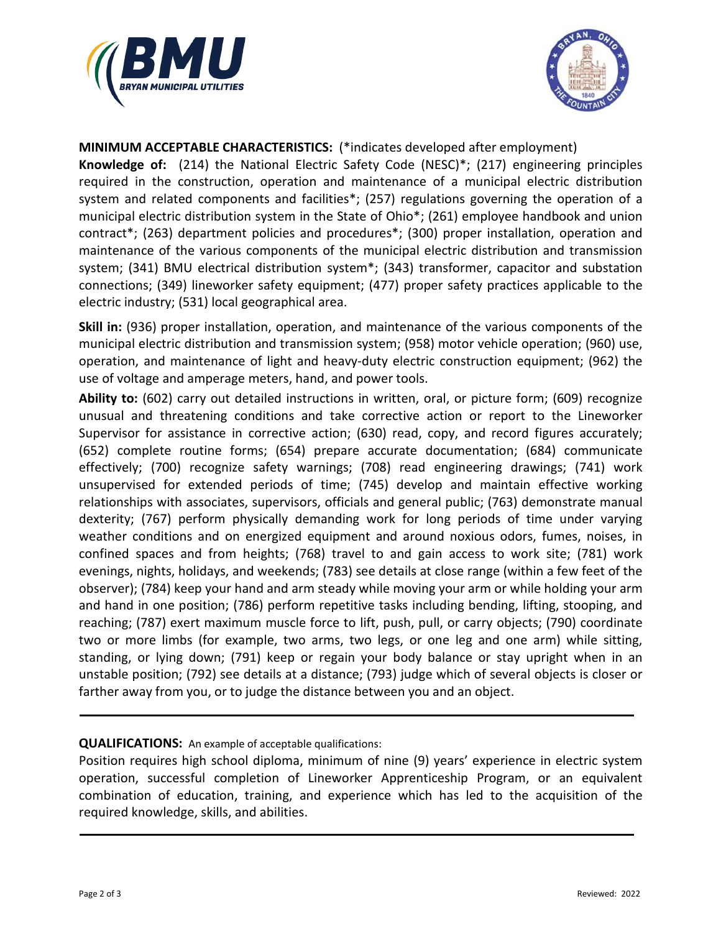



**MINIMUM ACCEPTABLE CHARACTERISTICS:** (\*indicates developed after employment)

**Knowledge of:** (214) the National Electric Safety Code (NESC)\*; (217) engineering principles required in the construction, operation and maintenance of a municipal electric distribution system and related components and facilities\*; (257) regulations governing the operation of a municipal electric distribution system in the State of Ohio\*; (261) employee handbook and union contract\*; (263) department policies and procedures\*; (300) proper installation, operation and maintenance of the various components of the municipal electric distribution and transmission system; (341) BMU electrical distribution system\*; (343) transformer, capacitor and substation connections; (349) lineworker safety equipment; (477) proper safety practices applicable to the electric industry; (531) local geographical area.

**Skill in:** (936) proper installation, operation, and maintenance of the various components of the municipal electric distribution and transmission system; (958) motor vehicle operation; (960) use, operation, and maintenance of light and heavy-duty electric construction equipment; (962) the use of voltage and amperage meters, hand, and power tools.

**Ability to:** (602) carry out detailed instructions in written, oral, or picture form; (609) recognize unusual and threatening conditions and take corrective action or report to the Lineworker Supervisor for assistance in corrective action; (630) read, copy, and record figures accurately; (652) complete routine forms; (654) prepare accurate documentation; (684) communicate effectively; (700) recognize safety warnings; (708) read engineering drawings; (741) work unsupervised for extended periods of time; (745) develop and maintain effective working relationships with associates, supervisors, officials and general public; (763) demonstrate manual dexterity; (767) perform physically demanding work for long periods of time under varying weather conditions and on energized equipment and around noxious odors, fumes, noises, in confined spaces and from heights; (768) travel to and gain access to work site; (781) work evenings, nights, holidays, and weekends; (783) see details at close range (within a few feet of the observer); (784) keep your hand and arm steady while moving your arm or while holding your arm and hand in one position; (786) perform repetitive tasks including bending, lifting, stooping, and reaching; (787) exert maximum muscle force to lift, push, pull, or carry objects; (790) coordinate two or more limbs (for example, two arms, two legs, or one leg and one arm) while sitting, standing, or lying down; (791) keep or regain your body balance or stay upright when in an unstable position; (792) see details at a distance; (793) judge which of several objects is closer or farther away from you, or to judge the distance between you and an object.

## **QUALIFICATIONS:** An example of acceptable qualifications:

Position requires high school diploma, minimum of nine (9) years' experience in electric system operation, successful completion of Lineworker Apprenticeship Program, or an equivalent combination of education, training, and experience which has led to the acquisition of the required knowledge, skills, and abilities.